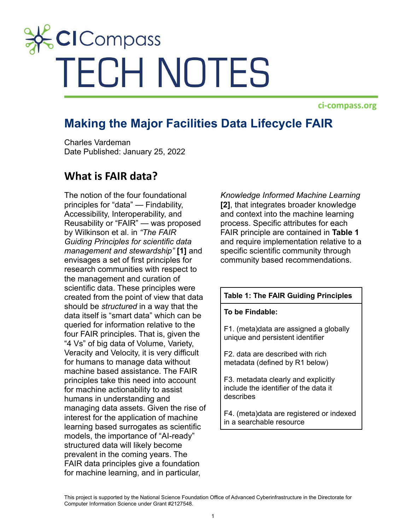# **CICompass TECH NOTES**

ci-compass.org

# **Making the Major Facilities Data Lifecycle FAIR**

Charles Vardeman Date Published: January 25, 2022

## **What is FAIR data?**

The notion of the four foundational principles for "data" — Findability, Accessibility, Interoperability, and Reusability or "FAIR" — was proposed by Wilkinson et al. in *"The FAIR Guiding Principles for scientific data management and stewardship"* **[1]** and envisages a set of first principles for research communities with respect to the management and curation of scientific data. These principles were created from the point of view that data should be *structured* in a way that the data itself is "smart data" which can be queried for information relative to the four FAIR principles. That is, given the "4 Vs" of big data of Volume, Variety, Veracity and Velocity, it is very difficult for humans to manage data without machine based assistance. The FAIR principles take this need into account for machine actionability to assist humans in understanding and managing data assets. Given the rise of interest for the application of machine learning based surrogates as scientific models, the importance of "AI-ready" structured data will likely become prevalent in the coming years. The FAIR data principles give a foundation for machine learning, and in particular,

*Knowledge Informed Machine Learning* **[2]**, that integrates broader knowledge and context into the machine learning process. Specific attributes for each FAIR principle are contained in **Table 1** and require implementation relative to a specific scientific community through community based recommendations.

#### **Table 1: The FAIR Guiding Principles**

**To be Findable:**

F1. (meta)data are assigned a globally unique and persistent identifier

F2. data are described with rich metadata (defined by R1 below)

F3. metadata clearly and explicitly include the identifier of the data it describes

F4. (meta)data are registered or indexed in a searchable resource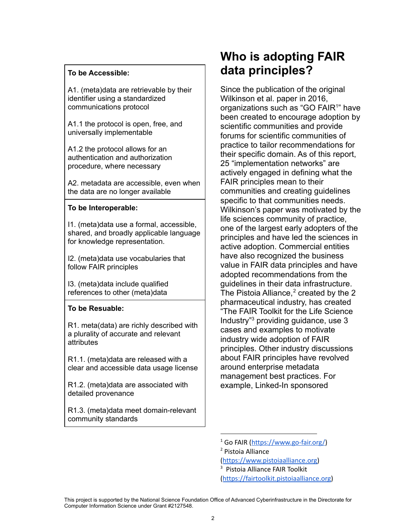#### **To be Accessible:**

A1. (meta)data are retrievable by their identifier using a standardized communications protocol

A1.1 the protocol is open, free, and universally implementable

A1.2 the protocol allows for an authentication and authorization procedure, where necessary

A2. metadata are accessible, even when the data are no longer available

#### **To be Interoperable:**

I1. (meta)data use a formal, accessible, shared, and broadly applicable language for knowledge representation.

I2. (meta)data use vocabularies that follow FAIR principles

I3. (meta)data include qualified references to other (meta)data

### **To be Resuable:**

R1. meta(data) are richly described with a plurality of accurate and relevant attributes

R1.1. (meta)data are released with a clear and accessible data usage license

R1.2. (meta)data are associated with detailed provenance

R1.3. (meta)data meet domain-relevant community standards

# **Who is adopting FAIR data principles?**

Since the publication of the original Wilkinson et al. paper in 2016, organizations such as "GO FAIR<sup>1</sup>" have been created to encourage adoption by scientific communities and provide forums for scientific communities of practice to tailor recommendations for their specific domain. As of this report, 25 "implementation networks" are actively engaged in defining what the FAIR principles mean to their communities and creating guidelines specific to that communities needs. Wilkinson's paper was motivated by the life sciences community of practice, one of the largest early adopters of the principles and have led the sciences in active adoption. Commercial entities have also recognized the business value in FAIR data principles and have adopted recommendations from the guidelines in their data infrastructure. The Pistoia Alliance, $<sup>2</sup>$  created by the 2</sup> pharmaceutical industry, has created "The FAIR Toolkit for the Life Science Industry"<sup>3</sup> providing guidance, use 3 cases and examples to motivate industry wide adoption of FAIR principles. Other industry discussions about FAIR principles have revolved around enterprise metadata management best practices. For example, Linked-In sponsored

<sup>2</sup> Pistoia Alliance

([https://www.pistoiaalliance.org\)](https://www.pistoiaalliance.org)

(<https://fairtoolkit.pistoiaalliance.org>)

<sup>1</sup> Go FAIR ([https://www.go-fair.org/\)](https://www.go-fair.org/)

<sup>3</sup> Pistoia Alliance FAIR Toolkit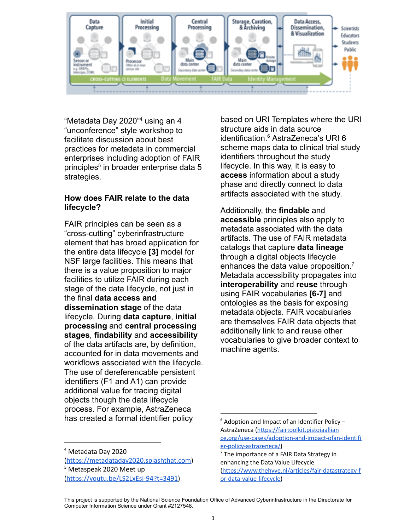

"Metadata Day 2020"<sup>4</sup> using an 4 "unconference" style workshop to facilitate discussion about best practices for metadata in commercial enterprises including adoption of FAIR principles<sup>5</sup> in broader enterprise data 5 strategies.

## **How does FAIR relate to the data lifecycle?**

FAIR principles can be seen as a "cross-cutting" cyberinfrastructure element that has broad application for the entire data lifecycle **[3]** model for NSF large facilities. This means that there is a value proposition to major facilities to utilize FAIR during each stage of the data lifecycle, not just in the final **data access and dissemination stage** of the data lifecycle. During **data capture**, **initial processing** and **central processing stages**, **findability** and **accessibility** of the data artifacts are, by definition, accounted for in data movements and workflows associated with the lifecycle. The use of dereferencable persistent identifiers (F1 and A1) can provide additional value for tracing digital objects though the data lifecycle process. For example, AstraZeneca has created a formal identifier policy

<sup>4</sup> Metadata Day 2020

<sup>5</sup> Metaspeak 2020 Meet up [\(https://youtu.be/LS2LxEsj-94?t=3491\)](https://youtu.be/LS2LxEsj-94?t=3491) [\(https://metadataday2020.splashthat.com](https://metadataday2020.splashthat.com)) based on URI Templates where the URI structure aids in data source identification.<sup>6</sup> AstraZeneca's URI 6 scheme maps data to clinical trial study identifiers throughout the study lifecycle. In this way, it is easy to **access** information about a study phase and directly connect to data artifacts associated with the study.

Additionally, the **findable** and **accessible** principles also apply to metadata associated with the data artifacts. The use of FAIR metadata catalogs that capture **data lineage** through a digital objects lifecycle enhances the data value proposition.<sup>7</sup> Metadata accessibility propagates into **interoperability** and **reuse** through using FAIR vocabularies **[6-7]** and ontologies as the basis for exposing metadata objects. FAIR vocabularies are themselves FAIR data objects that additionally link to and reuse other vocabularies to give broader context to machine agents.

 $6$  Adoption and Impact of an Identifier Policy  $-$ AstraZeneca [\(https://fairtoolkit.pistoiaallian](https://fairtoolkit.pistoiaallian) [ce.org/use-cases/adoption-and-impact-ofan-identifi](https://fairtoolkit.pistoiaallian) [er-policy-astrazeneca/\)](https://fairtoolkit.pistoiaallian)

 $<sup>7</sup>$  The importance of a FAIR Data Strategy in</sup> enhancing the Data Value Lifecycle [\(https://www.thehyve.nl/articles/fair-datastrategy-f](https://www.thehyve.nl/articles/fair-datastrategy-for-data-value-lifecycle) [or-data-value-lifecycle\)](https://www.thehyve.nl/articles/fair-datastrategy-for-data-value-lifecycle)

This project is supported by the National Science Foundation Office of Advanced Cyberinfrastructure in the Directorate for Computer Information Science under Grant #2127548.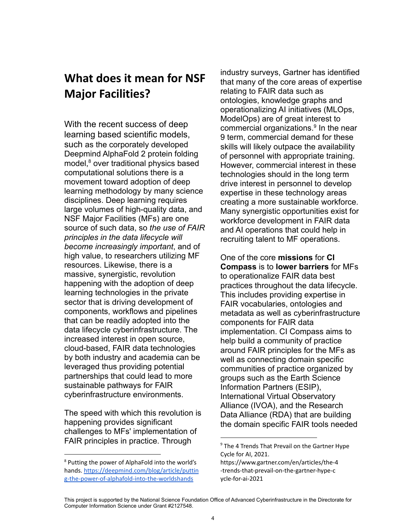# **What does it mean for NSF Major Facilities?**

With the recent success of deep learning based scientific models, such as the corporately developed Deepmind AlphaFold 2 protein folding model,<sup>8</sup> over traditional physics based computational solutions there is a movement toward adoption of deep learning methodology by many science disciplines. Deep learning requires large volumes of high-quality data, and NSF Major Facilities (MFs) are one source of such data, so *the use of FAIR principles in the data lifecycle will become increasingly important*, and of high value, to researchers utilizing MF resources. Likewise, there is a massive, synergistic, revolution happening with the adoption of deep learning technologies in the private sector that is driving development of components, workflows and pipelines that can be readily adopted into the data lifecycle cyberinfrastructure. The increased interest in open source, cloud-based, FAIR data technologies by both industry and academia can be leveraged thus providing potential partnerships that could lead to more sustainable pathways for FAIR cyberinfrastructure environments.

The speed with which this revolution is happening provides significant challenges to MFs' implementation of FAIR principles in practice. Through

industry surveys, Gartner has identified that many of the core areas of expertise relating to FAIR data such as ontologies, knowledge graphs and operationalizing AI initiatives (MLOps, ModelOps) are of great interest to commercial organizations.<sup>9</sup> In the near 9 term, commercial demand for these skills will likely outpace the availability of personnel with appropriate training. However, commercial interest in these technologies should in the long term drive interest in personnel to develop expertise in these technology areas creating a more sustainable workforce. Many synergistic opportunities exist for workforce development in FAIR data and AI operations that could help in recruiting talent to MF operations.

One of the core **missions** for **CI Compass** is to **lower barriers** for MFs to operationalize FAIR data best practices throughout the data lifecycle. This includes providing expertise in FAIR vocabularies, ontologies and metadata as well as cyberinfrastructure components for FAIR data implementation. CI Compass aims to help build a community of practice around FAIR principles for the MFs as well as connecting domain specific communities of practice organized by groups such as the Earth Science Information Partners (ESIP), International Virtual Observatory Alliance (IVOA), and the Research Data Alliance (RDA) that are building the domain specific FAIR tools needed

<sup>8</sup> Putting the power of AlphaFold into the world's hands. <https://deepmind.com/blog/article/puttin> [g-the-power-of-alphafold-into-the-worldshands](https://deepmind.com/blog/article/puttin)

 $9$  The 4 Trends That Prevail on the Gartner Hype Cycle for AI, 2021.

https://www.gartner.com/en/articles/the-4 -trends-that-prevail-on-the-gartner-hype-c ycle-for-ai-2021

This project is supported by the National Science Foundation Office of Advanced Cyberinfrastructure in the Directorate for Computer Information Science under Grant #2127548.